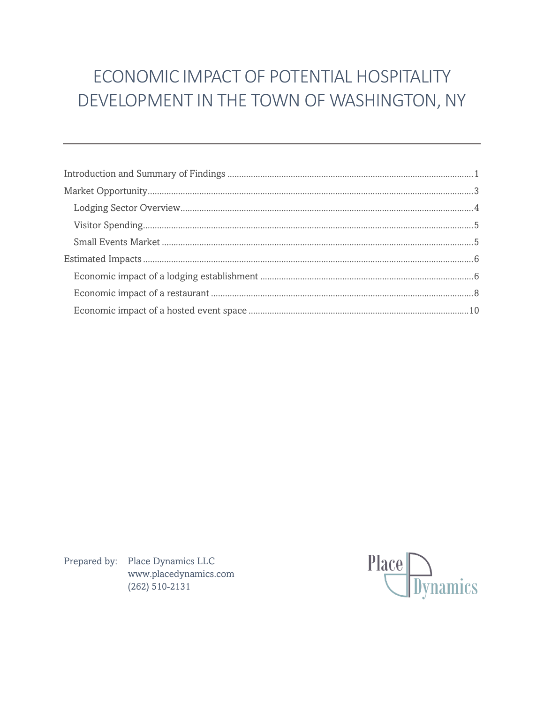# ECONOMIC IMPACT OF POTENTIAL HOSPITALITY DEVELOPMENT IN THE TOWN OF WASHINGTON, NY

Prepared by: Place Dynamics LLC www.placedynamics.com  $(262) 510 - 2131$ 

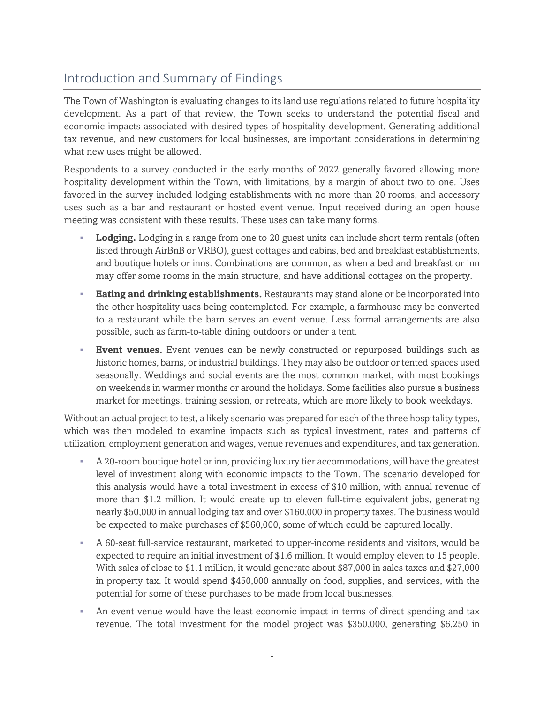# <span id="page-1-0"></span>Introduction and Summary of Findings

The Town of Washington is evaluating changes to its land use regulations related to future hospitality development. As a part of that review, the Town seeks to understand the potential fiscal and economic impacts associated with desired types of hospitality development. Generating additional tax revenue, and new customers for local businesses, are important considerations in determining what new uses might be allowed.

Respondents to a survey conducted in the early months of 2022 generally favored allowing more hospitality development within the Town, with limitations, by a margin of about two to one. Uses favored in the survey included lodging establishments with no more than 20 rooms, and accessory uses such as a bar and restaurant or hosted event venue. Input received during an open house meeting was consistent with these results. These uses can take many forms.

- **Lodging.** Lodging in a range from one to 20 guest units can include short term rentals (often listed through AirBnB or VRBO), guest cottages and cabins, bed and breakfast establishments, and boutique hotels or inns. Combinations are common, as when a bed and breakfast or inn may offer some rooms in the main structure, and have additional cottages on the property.
- **Eating and drinking establishments.** Restaurants may stand alone or be incorporated into the other hospitality uses being contemplated. For example, a farmhouse may be converted to a restaurant while the barn serves an event venue. Less formal arrangements are also possible, such as farm-to-table dining outdoors or under a tent.
- **Event venues.** Event venues can be newly constructed or repurposed buildings such as historic homes, barns, or industrial buildings. They may also be outdoor or tented spaces used seasonally. Weddings and social events are the most common market, with most bookings on weekends in warmer months or around the holidays. Some facilities also pursue a business market for meetings, training session, or retreats, which are more likely to book weekdays.

Without an actual project to test, a likely scenario was prepared for each of the three hospitality types, which was then modeled to examine impacts such as typical investment, rates and patterns of utilization, employment generation and wages, venue revenues and expenditures, and tax generation.

- A 20-room boutique hotel or inn, providing luxury tier accommodations, will have the greatest level of investment along with economic impacts to the Town. The scenario developed for this analysis would have a total investment in excess of \$10 million, with annual revenue of more than \$1.2 million. It would create up to eleven full-time equivalent jobs, generating nearly \$50,000 in annual lodging tax and over \$160,000 in property taxes. The business would be expected to make purchases of \$560,000, some of which could be captured locally.
- A 60-seat full-service restaurant, marketed to upper-income residents and visitors, would be expected to require an initial investment of \$1.6 million. It would employ eleven to 15 people. With sales of close to \$1.1 million, it would generate about \$87,000 in sales taxes and \$27,000 in property tax. It would spend \$450,000 annually on food, supplies, and services, with the potential for some of these purchases to be made from local businesses.
- An event venue would have the least economic impact in terms of direct spending and tax revenue. The total investment for the model project was \$350,000, generating \$6,250 in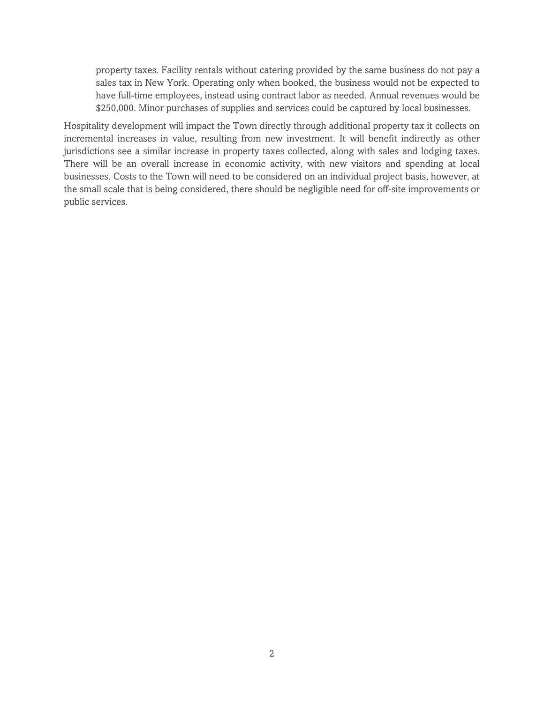property taxes. Facility rentals without catering provided by the same business do not pay a sales tax in New York. Operating only when booked, the business would not be expected to have full-time employees, instead using contract labor as needed. Annual revenues would be \$250,000. Minor purchases of supplies and services could be captured by local businesses.

Hospitality development will impact the Town directly through additional property tax it collects on incremental increases in value, resulting from new investment. It will benefit indirectly as other jurisdictions see a similar increase in property taxes collected, along with sales and lodging taxes. There will be an overall increase in economic activity, with new visitors and spending at local businesses. Costs to the Town will need to be considered on an individual project basis, however, at the small scale that is being considered, there should be negligible need for off-site improvements or public services.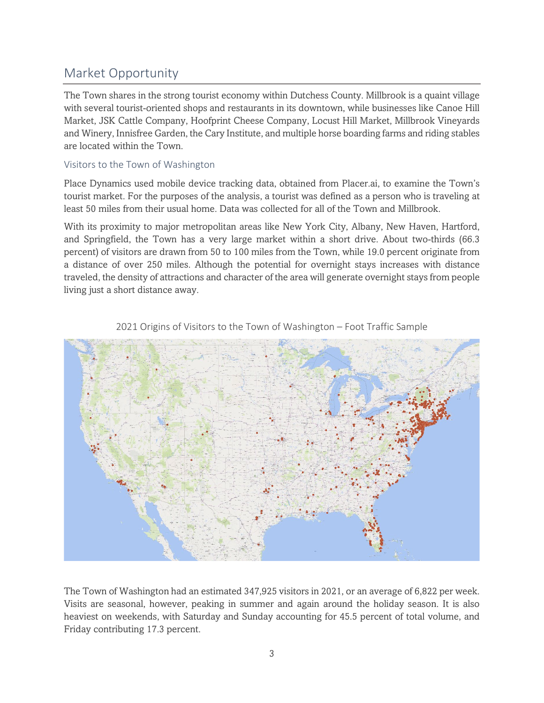# <span id="page-3-0"></span>Market Opportunity

The Town shares in the strong tourist economy within Dutchess County. Millbrook is a quaint village with several tourist-oriented shops and restaurants in its downtown, while businesses like Canoe Hill Market, JSK Cattle Company, Hoofprint Cheese Company, Locust Hill Market, Millbrook Vineyards and Winery, Innisfree Garden, the Cary Institute, and multiple horse boarding farms and riding stables are located within the Town.

## Visitors to the Town of Washington

Place Dynamics used mobile device tracking data, obtained from Placer.ai, to examine the Town's tourist market. For the purposes of the analysis, a tourist was defined as a person who is traveling at least 50 miles from their usual home. Data was collected for all of the Town and Millbrook.

With its proximity to major metropolitan areas like New York City, Albany, New Haven, Hartford, and Springfield, the Town has a very large market within a short drive. About two-thirds (66.3 percent) of visitors are drawn from 50 to 100 miles from the Town, while 19.0 percent originate from a distance of over 250 miles. Although the potential for overnight stays increases with distance traveled, the density of attractions and character of the area will generate overnight stays from people living just a short distance away.



2021 Origins of Visitors to the Town of Washington – Foot Traffic Sample

The Town of Washington had an estimated 347,925 visitors in 2021, or an average of 6,822 per week. Visits are seasonal, however, peaking in summer and again around the holiday season. It is also heaviest on weekends, with Saturday and Sunday accounting for 45.5 percent of total volume, and Friday contributing 17.3 percent.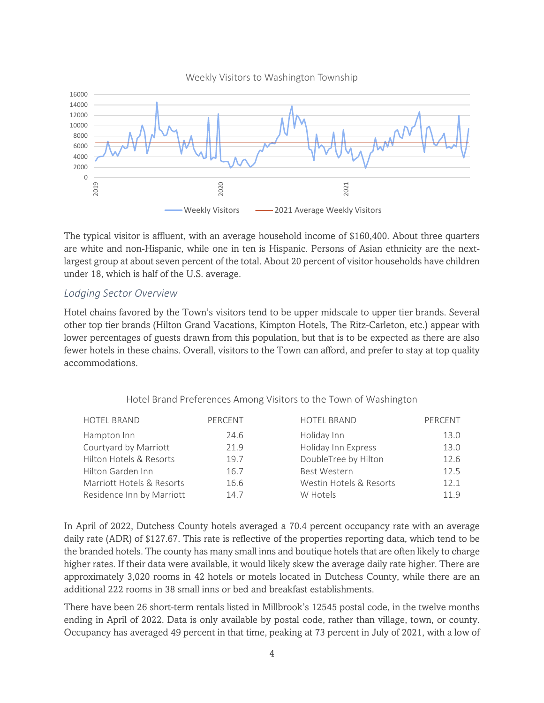

The typical visitor is affluent, with an average household income of \$160,400. About three quarters are white and non-Hispanic, while one in ten is Hispanic. Persons of Asian ethnicity are the nextlargest group at about seven percent of the total. About 20 percent of visitor households have children under 18, which is half of the U.S. average.

#### <span id="page-4-0"></span>*Lodging Sector Overview*

Hotel chains favored by the Town's visitors tend to be upper midscale to upper tier brands. Several other top tier brands (Hilton Grand Vacations, Kimpton Hotels, The Ritz-Carleton, etc.) appear with lower percentages of guests drawn from this population, but that is to be expected as there are also fewer hotels in these chains. Overall, visitors to the Town can afford, and prefer to stay at top quality accommodations.

|  |  |  | Hotel Brand Preferences Among Visitors to the Town of Washington |
|--|--|--|------------------------------------------------------------------|
|--|--|--|------------------------------------------------------------------|

| <b>HOTEL BRAND</b>        | PERCENT | <b>HOTEL BRAND</b>      | PERCENT |
|---------------------------|---------|-------------------------|---------|
| Hampton Inn               | 24.6    | Holiday Inn             | 13.0    |
| Courtyard by Marriott     | 21.9    | Holiday Inn Express     | 13.0    |
| Hilton Hotels & Resorts   | 19.7    | DoubleTree by Hilton    | 12.6    |
| Hilton Garden Inn         | 16.7    | <b>Best Western</b>     | 12.5    |
| Marriott Hotels & Resorts | 16.6    | Westin Hotels & Resorts | 12.1    |
| Residence Inn by Marriott | 14.7    | W Hotels                | 119     |
|                           |         |                         |         |

In April of 2022, Dutchess County hotels averaged a 70.4 percent occupancy rate with an average daily rate (ADR) of \$127.67. This rate is reflective of the properties reporting data, which tend to be the branded hotels. The county has many small inns and boutique hotels that are often likely to charge higher rates. If their data were available, it would likely skew the average daily rate higher. There are approximately 3,020 rooms in 42 hotels or motels located in Dutchess County, while there are an additional 222 rooms in 38 small inns or bed and breakfast establishments.

There have been 26 short-term rentals listed in Millbrook's 12545 postal code, in the twelve months ending in April of 2022. Data is only available by postal code, rather than village, town, or county. Occupancy has averaged 49 percent in that time, peaking at 73 percent in July of 2021, with a low of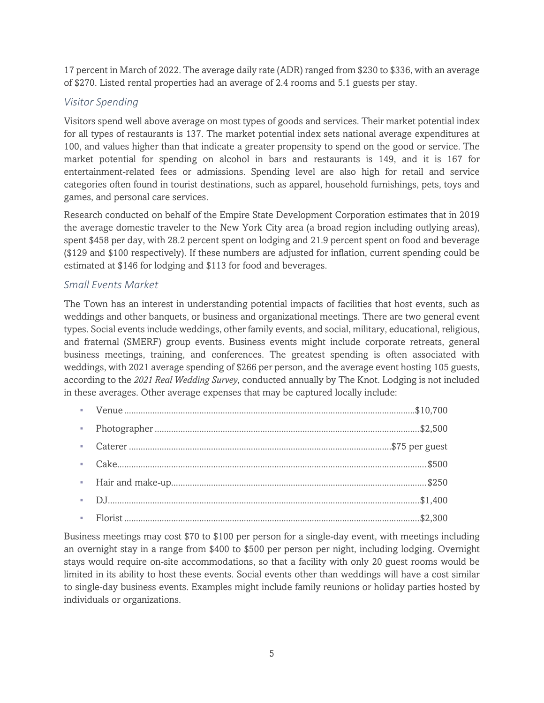17 percent in March of 2022. The average daily rate (ADR) ranged from \$230 to \$336, with an average of \$270. Listed rental properties had an average of 2.4 rooms and 5.1 guests per stay.

# <span id="page-5-0"></span>*Visitor Spending*

Visitors spend well above average on most types of goods and services. Their market potential index for all types of restaurants is 137. The market potential index sets national average expenditures at 100, and values higher than that indicate a greater propensity to spend on the good or service. The market potential for spending on alcohol in bars and restaurants is 149, and it is 167 for entertainment-related fees or admissions. Spending level are also high for retail and service categories often found in tourist destinations, such as apparel, household furnishings, pets, toys and games, and personal care services.

Research conducted on behalf of the Empire State Development Corporation estimates that in 2019 the average domestic traveler to the New York City area (a broad region including outlying areas), spent \$458 per day, with 28.2 percent spent on lodging and 21.9 percent spent on food and beverage (\$129 and \$100 respectively). If these numbers are adjusted for inflation, current spending could be estimated at \$146 for lodging and \$113 for food and beverages.

# <span id="page-5-1"></span>*Small Events Market*

The Town has an interest in understanding potential impacts of facilities that host events, such as weddings and other banquets, or business and organizational meetings. There are two general event types. Social events include weddings, other family events, and social, military, educational, religious, and fraternal (SMERF) group events. Business events might include corporate retreats, general business meetings, training, and conferences. The greatest spending is often associated with weddings, with 2021 average spending of \$266 per person, and the average event hosting 105 guests, according to the *2021 Real Wedding Survey*, conducted annually by The Knot. Lodging is not included in these averages. Other average expenses that may be captured locally include:

Business meetings may cost \$70 to \$100 per person for a single-day event, with meetings including an overnight stay in a range from \$400 to \$500 per person per night, including lodging. Overnight stays would require on-site accommodations, so that a facility with only 20 guest rooms would be limited in its ability to host these events. Social events other than weddings will have a cost similar to single-day business events. Examples might include family reunions or holiday parties hosted by individuals or organizations.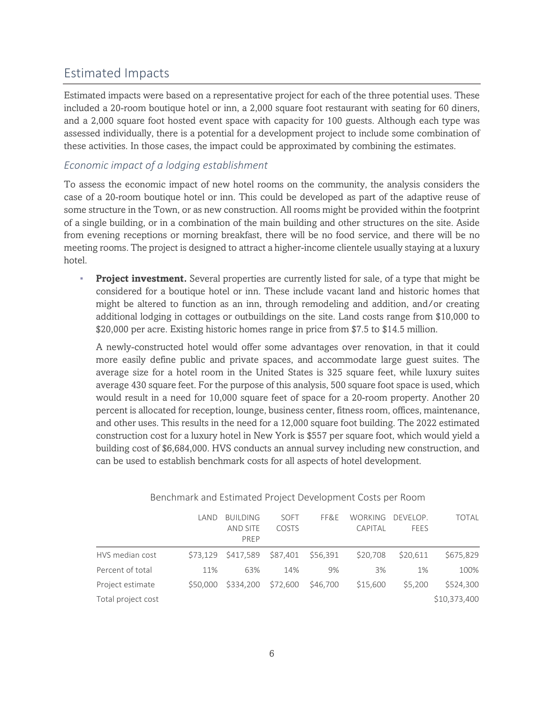# <span id="page-6-0"></span>Estimated Impacts

Estimated impacts were based on a representative project for each of the three potential uses. These included a 20-room boutique hotel or inn, a 2,000 square foot restaurant with seating for 60 diners, and a 2,000 square foot hosted event space with capacity for 100 guests. Although each type was assessed individually, there is a potential for a development project to include some combination of these activities. In those cases, the impact could be approximated by combining the estimates.

# <span id="page-6-1"></span>*Economic impact of a lodging establishment*

To assess the economic impact of new hotel rooms on the community, the analysis considers the case of a 20-room boutique hotel or inn. This could be developed as part of the adaptive reuse of some structure in the Town, or as new construction. All rooms might be provided within the footprint of a single building, or in a combination of the main building and other structures on the site. Aside from evening receptions or morning breakfast, there will be no food service, and there will be no meeting rooms. The project is designed to attract a higher-income clientele usually staying at a luxury hotel.

**Project investment.** Several properties are currently listed for sale, of a type that might be considered for a boutique hotel or inn. These include vacant land and historic homes that might be altered to function as an inn, through remodeling and addition, and/or creating additional lodging in cottages or outbuildings on the site. Land costs range from \$10,000 to \$20,000 per acre. Existing historic homes range in price from \$7.5 to \$14.5 million.

A newly-constructed hotel would offer some advantages over renovation, in that it could more easily define public and private spaces, and accommodate large guest suites. The average size for a hotel room in the United States is 325 square feet, while luxury suites average 430 square feet. For the purpose of this analysis, 500 square foot space is used, which would result in a need for 10,000 square feet of space for a 20-room property. Another 20 percent is allocated for reception, lounge, business center, fitness room, offices, maintenance, and other uses. This results in the need for a 12,000 square foot building. The 2022 estimated construction cost for a luxury hotel in New York is \$557 per square foot, which would yield a building cost of \$6,684,000. HVS conducts an annual survey including new construction, and can be used to establish benchmark costs for all aspects of hotel development.

|                    | LAND     | <b>BUILDING</b><br>AND SITE<br>PRFP | SOFT<br><b>COSTS</b> | FF&F     | WORKING<br>CAPITAL | DEVELOP.<br><b>FEES</b> | <b>TOTAL</b> |
|--------------------|----------|-------------------------------------|----------------------|----------|--------------------|-------------------------|--------------|
| HVS median cost    | S73.129  | \$417,589 \$87,401 \$56,391         |                      |          | \$20,708           | \$20,611                | \$675,829    |
| Percent of total   | 11%      | 63%                                 | 14%                  | 9%       | 3%                 | 1%                      | 100%         |
| Project estimate   | \$50,000 | \$334,200                           | \$72.600             | \$46,700 | \$15,600           | \$5,200                 | \$524,300    |
| Total project cost |          |                                     |                      |          |                    |                         | \$10,373,400 |

#### Benchmark and Estimated Project Development Costs per Room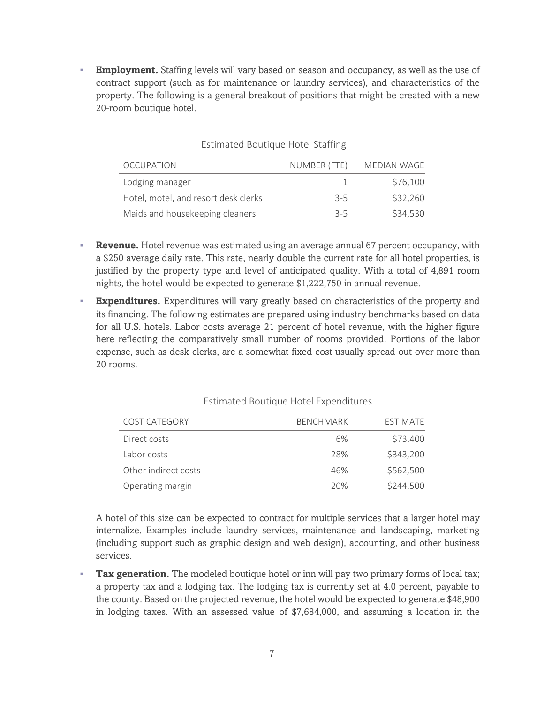**Employment.** Staffing levels will vary based on season and occupancy, as well as the use of contract support (such as for maintenance or laundry services), and characteristics of the property. The following is a general breakout of positions that might be created with a new 20-room boutique hotel.

### Estimated Boutique Hotel Staffing

| <b>OCCUPATION</b>                    | NUMBER (FTE) | MEDIAN WAGE |
|--------------------------------------|--------------|-------------|
| Lodging manager                      |              | \$76,100    |
| Hotel, motel, and resort desk clerks | $3 - 5$      | \$32,260    |
| Maids and housekeeping cleaners      | $3 - 5$      | \$34,530    |

- **Revenue.** Hotel revenue was estimated using an average annual 67 percent occupancy, with a \$250 average daily rate. This rate, nearly double the current rate for all hotel properties, is justified by the property type and level of anticipated quality. With a total of 4,891 room nights, the hotel would be expected to generate \$1,222,750 in annual revenue.
- **Expenditures.** Expenditures will vary greatly based on characteristics of the property and its financing. The following estimates are prepared using industry benchmarks based on data for all U.S. hotels. Labor costs average 21 percent of hotel revenue, with the higher figure here reflecting the comparatively small number of rooms provided. Portions of the labor expense, such as desk clerks, are a somewhat fixed cost usually spread out over more than 20 rooms.

|  |  |  | Estimated Boutique Hotel Expenditures |
|--|--|--|---------------------------------------|
|--|--|--|---------------------------------------|

| COST CATEGORY        | <b>BENCHMARK</b> | <b>FSTIMATE</b> |
|----------------------|------------------|-----------------|
| Direct costs         | 6%               | \$73,400        |
| Labor costs          | 28%              | \$343,200       |
| Other indirect costs | 46%              | \$562,500       |
| Operating margin     | 20%              | \$244,500       |

A hotel of this size can be expected to contract for multiple services that a larger hotel may internalize. Examples include laundry services, maintenance and landscaping, marketing (including support such as graphic design and web design), accounting, and other business services.

**Tax generation.** The modeled boutique hotel or inn will pay two primary forms of local tax; a property tax and a lodging tax. The lodging tax is currently set at 4.0 percent, payable to the county. Based on the projected revenue, the hotel would be expected to generate \$48,900 in lodging taxes. With an assessed value of \$7,684,000, and assuming a location in the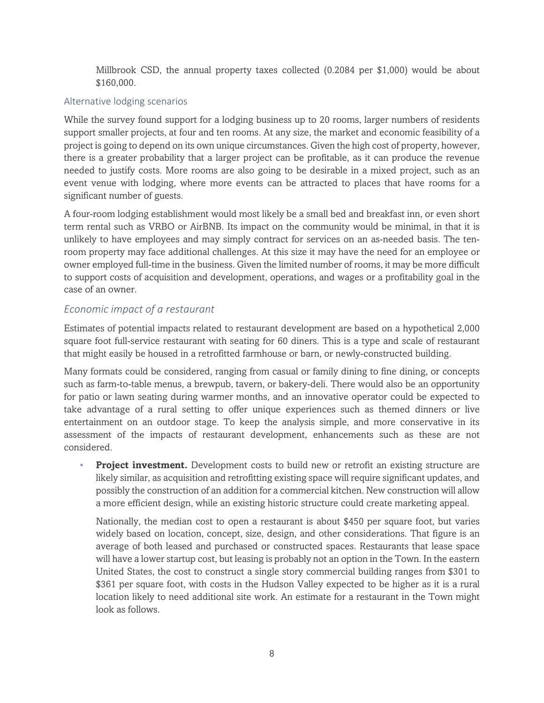Millbrook CSD, the annual property taxes collected (0.2084 per \$1,000) would be about \$160,000.

#### Alternative lodging scenarios

While the survey found support for a lodging business up to 20 rooms, larger numbers of residents support smaller projects, at four and ten rooms. At any size, the market and economic feasibility of a project is going to depend on its own unique circumstances. Given the high cost of property, however, there is a greater probability that a larger project can be profitable, as it can produce the revenue needed to justify costs. More rooms are also going to be desirable in a mixed project, such as an event venue with lodging, where more events can be attracted to places that have rooms for a significant number of guests.

A four-room lodging establishment would most likely be a small bed and breakfast inn, or even short term rental such as VRBO or AirBNB. Its impact on the community would be minimal, in that it is unlikely to have employees and may simply contract for services on an as-needed basis. The tenroom property may face additional challenges. At this size it may have the need for an employee or owner employed full-time in the business. Given the limited number of rooms, it may be more difficult to support costs of acquisition and development, operations, and wages or a profitability goal in the case of an owner.

## <span id="page-8-0"></span>*Economic impact of a restaurant*

Estimates of potential impacts related to restaurant development are based on a hypothetical 2,000 square foot full-service restaurant with seating for 60 diners. This is a type and scale of restaurant that might easily be housed in a retrofitted farmhouse or barn, or newly-constructed building.

Many formats could be considered, ranging from casual or family dining to fine dining, or concepts such as farm-to-table menus, a brewpub, tavern, or bakery-deli. There would also be an opportunity for patio or lawn seating during warmer months, and an innovative operator could be expected to take advantage of a rural setting to offer unique experiences such as themed dinners or live entertainment on an outdoor stage. To keep the analysis simple, and more conservative in its assessment of the impacts of restaurant development, enhancements such as these are not considered.

**Project investment.** Development costs to build new or retrofit an existing structure are likely similar, as acquisition and retrofitting existing space will require significant updates, and possibly the construction of an addition for a commercial kitchen. New construction will allow a more efficient design, while an existing historic structure could create marketing appeal.

Nationally, the median cost to open a restaurant is about \$450 per square foot, but varies widely based on location, concept, size, design, and other considerations. That figure is an average of both leased and purchased or constructed spaces. Restaurants that lease space will have a lower startup cost, but leasing is probably not an option in the Town. In the eastern United States, the cost to construct a single story commercial building ranges from \$301 to \$361 per square foot, with costs in the Hudson Valley expected to be higher as it is a rural location likely to need additional site work. An estimate for a restaurant in the Town might look as follows.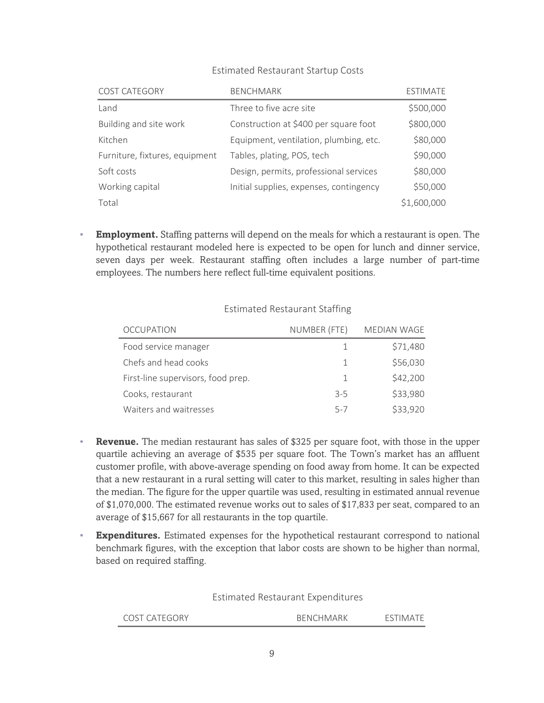| COST CATEGORY                  | <b>BENCHMARK</b>                        | <b>ESTIMATE</b> |
|--------------------------------|-----------------------------------------|-----------------|
| Land                           | Three to five acre site                 | \$500,000       |
| Building and site work         | Construction at \$400 per square foot   | \$800,000       |
| Kitchen                        | Equipment, ventilation, plumbing, etc.  | \$80,000        |
| Furniture, fixtures, equipment | Tables, plating, POS, tech              | \$90,000        |
| Soft costs                     | Design, permits, professional services  | \$80,000        |
| Working capital                | Initial supplies, expenses, contingency | \$50,000        |
| Total                          |                                         | \$1,600,000     |

#### Estimated Restaurant Startup Costs

**Employment.** Staffing patterns will depend on the meals for which a restaurant is open. The hypothetical restaurant modeled here is expected to be open for lunch and dinner service, seven days per week. Restaurant staffing often includes a large number of part-time employees. The numbers here reflect full-time equivalent positions.

| <b>OCCUPATION</b>                  | NUMBER (FTE) | MEDIAN WAGE |
|------------------------------------|--------------|-------------|
| Food service manager               | -1.          | \$71,480    |
| Chefs and head cooks               | 1            | \$56,030    |
| First-line supervisors, food prep. | -1           | \$42,200    |
| Cooks, restaurant                  | $3 - 5$      | \$33,980    |
| Waiters and waitresses             | $5 - 7$      | \$33,920    |

### Estimated Restaurant Staffing

- **Revenue.** The median restaurant has sales of \$325 per square foot, with those in the upper quartile achieving an average of \$535 per square foot. The Town's market has an affluent customer profile, with above-average spending on food away from home. It can be expected that a new restaurant in a rural setting will cater to this market, resulting in sales higher than the median. The figure for the upper quartile was used, resulting in estimated annual revenue of \$1,070,000. The estimated revenue works out to sales of \$17,833 per seat, compared to an average of \$15,667 for all restaurants in the top quartile.
- **Expenditures.** Estimated expenses for the hypothetical restaurant correspond to national benchmark figures, with the exception that labor costs are shown to be higher than normal, based on required staffing.

Estimated Restaurant Expenditures

| COST CATEGORY | <b>BENCHMARK</b> | 'N |
|---------------|------------------|----|
|---------------|------------------|----|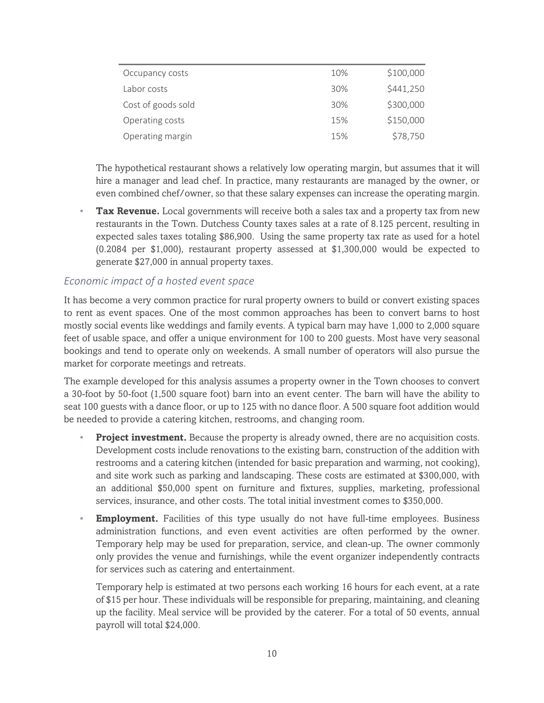| Occupancy costs    | 10% | \$100,000 |
|--------------------|-----|-----------|
| Labor costs        | 30% | \$441,250 |
| Cost of goods sold | 30% | \$300,000 |
| Operating costs    | 15% | \$150,000 |
| Operating margin   | 15% | \$78,750  |

The hypothetical restaurant shows a relatively low operating margin, but assumes that it will hire a manager and lead chef. In practice, many restaurants are managed by the owner, or even combined chef/owner, so that these salary expenses can increase the operating margin.

**Tax Revenue.** Local governments will receive both a sales tax and a property tax from new restaurants in the Town. Dutchess County taxes sales at a rate of 8.125 percent, resulting in expected sales taxes totaling \$86,900. Using the same property tax rate as used for a hotel (0.2084 per \$1,000), restaurant property assessed at \$1,300,000 would be expected to generate \$27,000 in annual property taxes.

## <span id="page-10-0"></span>*Economic impact of a hosted event space*

It has become a very common practice for rural property owners to build or convert existing spaces to rent as event spaces. One of the most common approaches has been to convert barns to host mostly social events like weddings and family events. A typical barn may have 1,000 to 2,000 square feet of usable space, and offer a unique environment for 100 to 200 guests. Most have very seasonal bookings and tend to operate only on weekends. A small number of operators will also pursue the market for corporate meetings and retreats.

The example developed for this analysis assumes a property owner in the Town chooses to convert a 30-foot by 50-foot (1,500 square foot) barn into an event center. The barn will have the ability to seat 100 guests with a dance floor, or up to 125 with no dance floor. A 500 square foot addition would be needed to provide a catering kitchen, restrooms, and changing room.

- **Project investment.** Because the property is already owned, there are no acquisition costs. Development costs include renovations to the existing barn, construction of the addition with restrooms and a catering kitchen (intended for basic preparation and warming, not cooking), and site work such as parking and landscaping. These costs are estimated at \$300,000, with an additional \$50,000 spent on furniture and fixtures, supplies, marketing, professional services, insurance, and other costs. The total initial investment comes to \$350,000.
- **Employment.** Facilities of this type usually do not have full-time employees. Business administration functions, and even event activities are often performed by the owner. Temporary help may be used for preparation, service, and clean-up. The owner commonly only provides the venue and furnishings, while the event organizer independently contracts for services such as catering and entertainment.

Temporary help is estimated at two persons each working 16 hours for each event, at a rate of \$15 per hour. These individuals will be responsible for preparing, maintaining, and cleaning up the facility. Meal service will be provided by the caterer. For a total of 50 events, annual payroll will total \$24,000.